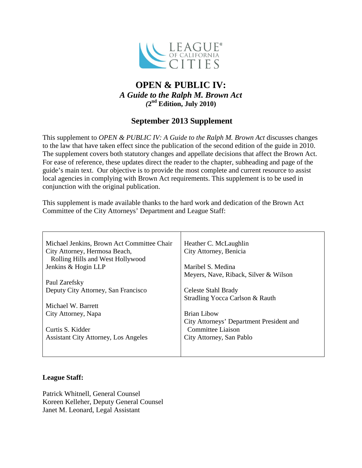

# **OPEN & PUBLIC IV:** *A Guide to the Ralph M. Brown Act (***2nd Edition, July 2010)**

# **September 2013 Supplement**

This supplement to *OPEN & PUBLIC IV: A Guide to the Ralph M. Brown Act* discusses changes to the law that have taken effect since the publication of the second edition of the guide in 2010. The supplement covers both statutory changes and appellate decisions that affect the Brown Act. For ease of reference, these updates direct the reader to the chapter, subheading and page of the guide's main text. Our objective is to provide the most complete and current resource to assist local agencies in complying with Brown Act requirements. This supplement is to be used in conjunction with the original publication.

This supplement is made available thanks to the hard work and dedication of the Brown Act Committee of the City Attorneys' Department and League Staff:

| Michael Jenkins, Brown Act Committee Chair  | Heather C. McLaughlin                    |
|---------------------------------------------|------------------------------------------|
| City Attorney, Hermosa Beach,               | City Attorney, Benicia                   |
| Rolling Hills and West Hollywood            |                                          |
| Jenkins & Hogin LLP                         | Maribel S. Medina                        |
|                                             | Meyers, Nave, Riback, Silver & Wilson    |
| Paul Zarefsky                               |                                          |
| Deputy City Attorney, San Francisco         | Celeste Stahl Brady                      |
|                                             | Stradling Yocca Carlson & Rauth          |
| Michael W. Barrett                          |                                          |
| City Attorney, Napa                         | <b>Brian Libow</b>                       |
|                                             | City Attorneys' Department President and |
| Curtis S. Kidder                            | <b>Committee Liaison</b>                 |
| <b>Assistant City Attorney, Los Angeles</b> | City Attorney, San Pablo                 |
|                                             |                                          |
|                                             |                                          |

### **League Staff:**

Patrick Whitnell, General Counsel Koreen Kelleher, Deputy General Counsel Janet M. Leonard, Legal Assistant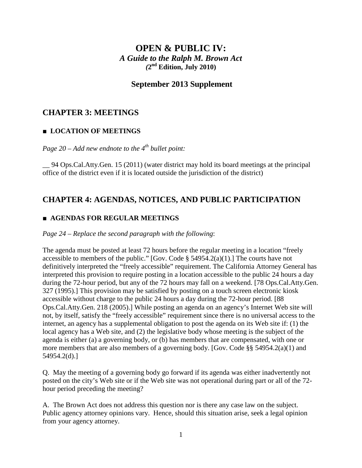# **OPEN & PUBLIC IV:** *A Guide to the Ralph M. Brown Act (***2nd Edition, July 2010)**

### **September 2013 Supplement**

## **CHAPTER 3: MEETINGS**

### **■ LOCATION OF MEETINGS**

*Page 20 – Add new endnote to the 4th bullet point:*

\_\_ 94 Ops.Cal.Atty.Gen. 15 (2011) (water district may hold its board meetings at the principal office of the district even if it is located outside the jurisdiction of the district)

## **CHAPTER 4: AGENDAS, NOTICES, AND PUBLIC PARTICIPATION**

### **■ AGENDAS FOR REGULAR MEETINGS**

#### *Page 24 – Replace the second paragraph with the following*:

The agenda must be posted at least 72 hours before the regular meeting in a location "freely accessible to members of the public." [Gov. Code  $\S$  54954.2(a)(1).] The courts have not definitively interpreted the "freely accessible" requirement. The California Attorney General has interpreted this provision to require posting in a location accessible to the public 24 hours a day during the 72-hour period, but any of the 72 hours may fall on a weekend. [78 Ops.Cal.Atty.Gen. 327 (1995).] This provision may be satisfied by posting on a touch screen electronic kiosk accessible without charge to the public 24 hours a day during the 72-hour period. [88 Ops.Cal.Atty.Gen. 218 (2005).] While posting an agenda on an agency's Internet Web site will not, by itself, satisfy the "freely accessible" requirement since there is no universal access to the internet, an agency has a supplemental obligation to post the agenda on its Web site if: (1) the local agency has a Web site, and (2) the legislative body whose meeting is the subject of the agenda is either (a) a governing body, or (b) has members that are compensated, with one or more members that are also members of a governing body. [Gov. Code §§ 54954.2(a)(1) and 54954.2(d).]

Q. May the meeting of a governing body go forward if its agenda was either inadvertently not posted on the city's Web site or if the Web site was not operational during part or all of the 72 hour period preceding the meeting?

A. The Brown Act does not address this question nor is there any case law on the subject. Public agency attorney opinions vary. Hence, should this situation arise, seek a legal opinion from your agency attorney.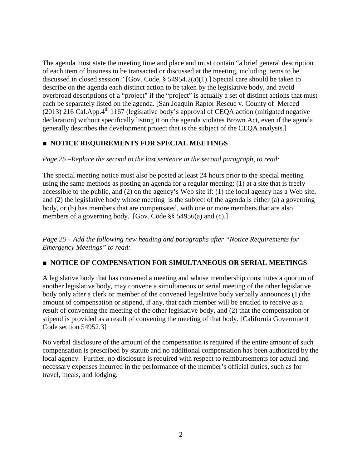The agenda must state the meeting time and place and must contain "a brief general description of each item of business to be transacted or discussed at the meeting, including items to be discussed in closed session." [Gov. Code, § 54954.2(a)(1).] Special care should be taken to describe on the agenda each distinct action to be taken by the legislative body, and avoid overbroad descriptions of a "project" if the "project" is actually a set of distinct actions that must each be separately listed on the agenda. [San Joaquin Raptor Rescue v. County of Merced (2013) 216 Cal.App. $4<sup>th</sup>$  1167 (legislative body's approval of CEQA action (mitigated negative declaration) without specifically listing it on the agenda violates Brown Act, even if the agenda generally describes the development project that is the subject of the CEQA analysis.]

### **■ NOTICE REQUIREMENTS FOR SPECIAL MEETINGS**

#### *Page 25 –Replace the second to the last sentence in the second paragraph, to read:*

The special meeting notice must also be posted at least 24 hours prior to the special meeting using the same methods as posting an agenda for a regular meeting: (1) at a site that is freely accessible to the public, and (2) on the agency's Web site if: (1) the local agency has a Web site, and (2) the legislative body whose meeting is the subject of the agenda is either (a) a governing body, or (b) has members that are compensated, with one or more members that are also members of a governing body. [Gov. Code §§ 54956(a) and (c).]

*Page 26 – Add the following new heading and paragraphs after "Notice Requirements for Emergency Meetings" to read:*

### **■ NOTICE OF COMPENSATION FOR SIMULTANEOUS OR SERIAL MEETINGS**

A legislative body that has convened a meeting and whose membership constitutes a quorum of another legislative body, may convene a simultaneous or serial meeting of the other legislative body only after a clerk or member of the convened legislative body verbally announces (1) the amount of compensation or stipend, if any, that each member will be entitled to receive as a result of convening the meeting of the other legislative body, and (2) that the compensation or stipend is provided as a result of convening the meeting of that body. [California Government Code section 54952.3]

No verbal disclosure of the amount of the compensation is required if the entire amount of such compensation is prescribed by statute and no additional compensation has been authorized by the local agency. Further, no disclosure is required with respect to reimbursements for actual and necessary expenses incurred in the performance of the member's official duties, such as for travel, meals, and lodging.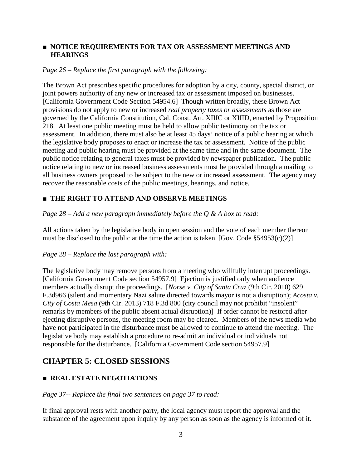### **■ NOTICE REQUIREMENTS FOR TAX OR ASSESSMENT MEETINGS AND HEARINGS**

#### *Page 26 – Replace the first paragraph with the following:*

The Brown Act prescribes specific procedures for adoption by a city, county, special district, or joint powers authority of any new or increased tax or assessment imposed on businesses. [California Government Code Section 54954.6] Though written broadly, these Brown Act provisions do not apply to new or increased *real property taxes or assessments* as those are governed by the California Constitution, Cal. Const. Art. XIIIC or XIIID, enacted by Proposition 218. At least one public meeting must be held to allow public testimony on the tax or assessment. In addition, there must also be at least 45 days' notice of a public hearing at which the legislative body proposes to enact or increase the tax or assessment. Notice of the public meeting and public hearing must be provided at the same time and in the same document. The public notice relating to general taxes must be provided by newspaper publication. The public notice relating to new or increased business assessments must be provided through a mailing to all business owners proposed to be subject to the new or increased assessment. The agency may recover the reasonable costs of the public meetings, hearings, and notice.

### **■ THE RIGHT TO ATTEND AND OBSERVE MEETINGS**

*Page 28 – Add a new paragraph immediately before the Q & A box to read:*

All actions taken by the legislative body in open session and the vote of each member thereon must be disclosed to the public at the time the action is taken. [Gov. Code  $$54953(c)(2)]$ ]

### *Page 28 – Replace the last paragraph with:*

The legislative body may remove persons from a meeting who willfully interrupt proceedings. [California Government Code section 54957.9] Ejection is justified only when audience members actually disrupt the proceedings. [*Norse v. City of Santa Cruz* (9th Cir. 2010) 629 F.3d966 (silent and momentary Nazi salute directed towards mayor is not a disruption); *Acosta v. City of Costa Mesa* (9th Cir. 2013) 718 F.3d 800 (city council may not prohibit "insolent" remarks by members of the public absent actual disruption)] If order cannot be restored after ejecting disruptive persons, the meeting room may be cleared. Members of the news media who have not participated in the disturbance must be allowed to continue to attend the meeting. The legislative body may establish a procedure to re-admit an individual or individuals not responsible for the disturbance. [California Government Code section 54957.9]

# **CHAPTER 5: CLOSED SESSIONS**

### **■ REAL ESTATE NEGOTIATIONS**

#### *Page 37-- Replace the final two sentences on page 37 to read:*

If final approval rests with another party, the local agency must report the approval and the substance of the agreement upon inquiry by any person as soon as the agency is informed of it.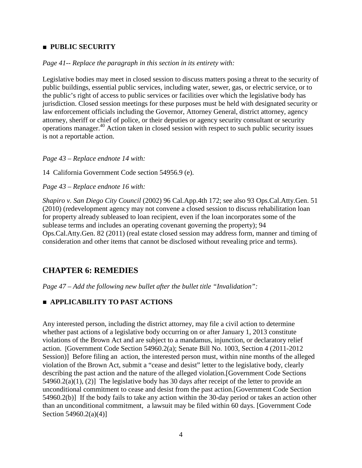#### **■ PUBLIC SECURITY**

#### *Page 41-- Replace the paragraph in this section in its entirety with:*

Legislative bodies may meet in closed session to discuss matters posing a threat to the security of public buildings, essential public services, including water, sewer, gas, or electric service, or to the public's right of access to public services or facilities over which the legislative body has jurisdiction. Closed session meetings for these purposes must be held with designated security or law enforcement officials including the Governor, Attorney General, district attorney, agency attorney, sheriff or chief of police, or their deputies or agency security consultant or security operations manager.40 Action taken in closed session with respect to such public security issues is not a reportable action.

#### *Page 43 – Replace endnote 14 with:*

14 California Government Code section 54956.9 (e).

*Page 43 – Replace endnote 16 with:*

*Shapiro v. San Diego City Council* (2002) 96 Cal.App.4th 172; see also 93 Ops.Cal.Atty.Gen. 51 (2010) (redevelopment agency may not convene a closed session to discuss rehabilitation loan for property already subleased to loan recipient, even if the loan incorporates some of the sublease terms and includes an operating covenant governing the property); 94 Ops.Cal.Atty.Gen. 82 (2011) (real estate closed session may address form, manner and timing of consideration and other items that cannot be disclosed without revealing price and terms).

### **CHAPTER 6: REMEDIES**

*Page 47 – Add the following new bullet after the bullet title "Invalidation":*

#### **■ APPLICABILITY TO PAST ACTIONS**

Any interested person, including the district attorney, may file a civil action to determine whether past actions of a legislative body occurring on or after January 1, 2013 constitute violations of the Brown Act and are subject to a mandamus, injunction, or declaratory relief action. [Government Code Section 54960.2(a); Senate Bill No. 1003, Section 4 (2011-2012 Session)] Before filing an action, the interested person must, within nine months of the alleged violation of the Brown Act, submit a "cease and desist" letter to the legislative body, clearly describing the past action and the nature of the alleged violation.[Government Code Sections  $54960.2(a)(1)$ , (2)] The legislative body has 30 days after receipt of the letter to provide an unconditional commitment to cease and desist from the past action.[Government Code Section 54960.2(b)] If the body fails to take any action within the 30-day period or takes an action other than an unconditional commitment, a lawsuit may be filed within 60 days. [Government Code Section 54960.2(a)(4)]